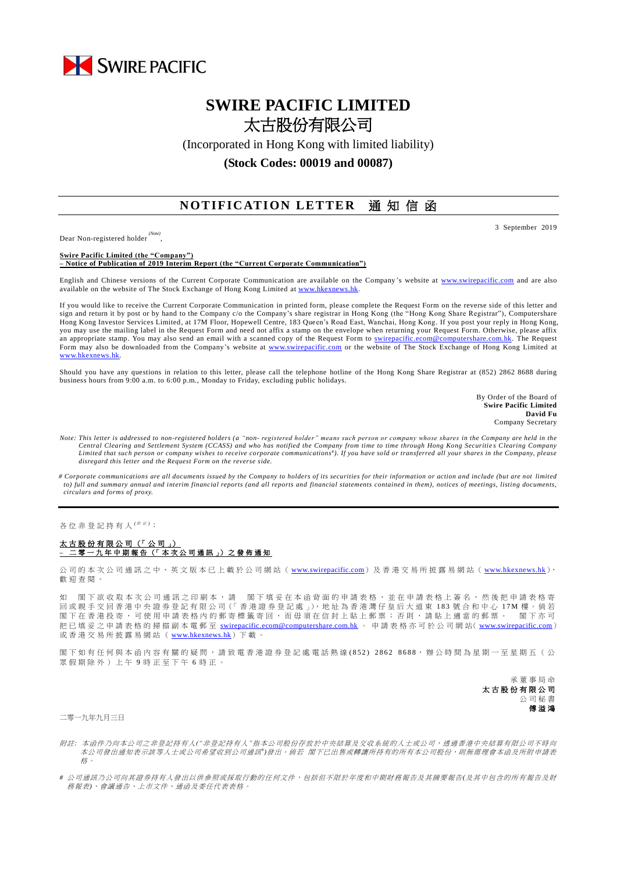

## **SWIRE PACIFIC LIMITED** 太古股份有限公司

(Incorporated in Hong Kong with limited liability)

**(Stock Codes: 00019 and 00087)**

## **NOTIFICATION LETTER** 通知信函

Dear Non-registered holder *(Note)*

,

**Swire Pacific Limited (the "Company") – Notice of Publication of 2019 Interim Report (the "Current Corporate Communication")**

English and Chinese versions of the Current Corporate Communication are available on the Company 's website at [www.swirepacific.com](http://www.swirepacific.com/) and are also available on the website of The Stock Exchange of Hong Kong Limited at [www.hkexnews.hk.](http://www.hkexnews.hk/)

If you would like to receive the Current Corporate Communication in printed form, please complete the Request Form on the reverse side of this letter and sign and return it by post or by hand to the Company c/o the Company's share registrar in Hong Kong (the "Hong Kong Share Registrar"), Computershare Hong Kong Investor Services Limited, at 17M Floor, Hopewell Centre, 183 Queen's Road East, Wanchai, Hong Kong. If you post your reply in Hong Kong, you may use the mailing label in the Request Form and need not affix a stamp on the envelope when returning your Request Form. Otherwise, please affix an appropriate stamp. You may also send an email with a scanned copy of the Request Form to [swirepacific.ecom@computershare.com.hk.](mailto:swirepacific.ecom@computershare.com.hk) The Request Form may also be downloaded from the Company's website at [www.swirepacific.com](http://www.swirepacific.com/) or the website of The Stock Exchange of Hong Kong Limited at [www.hkexnews.hk.](http://www.hkexnews.hk/)

Should you have any questions in relation to this letter, please call the telephone hotline of the Hong Kong Share Registrar at (852) 2862 8688 during business hours from 9:00 a.m. to 6:00 p.m., Monday to Friday, excluding public holidays.

> By Order of the Board of **Swire Pacific Limited David Fu** Company Secretary

- *Note: This letter is addressed to non-registered holders (a "non- registered holder" means such person or company whose shares in the Company are held in the Central Clearing and Settlement System (CCASS) and who has notified the Company from time to time through Hong Kong Securitie s Clearing Company*  Limited that such person or company wishes to receive corporate communications<sup>#</sup>). If you have sold or transferred all your shares in the Company, please *disregard this letter and the Request Form on the reverse side.*
- *# Corporate communications are all documents issued by the Company to holders of its securities for their information or action and include (but are not limited to) full and summary annual and interim financial reports (and all reports and financial statements contained in them), notices of meetings, listing documents, circulars and forms of proxy.*

各位非登記持有人<sup>( ##)</sup>:

## 太古股份有限公司 (「 公 司 」) **–** 二零一 九 年 中期報告 (「 本 次 公 司 通 訊 」) 之 發 佈 通 知

公司的本次公司通訊之中、英文版本已上載於公司網站 ([www.swirepacific.com](http://www.swirepacific.com/)) 及香港交易所披露易網站 ([www.hkexnews.hk](http://www.hkexnews.hk/)), 歡 迎 查閱。

如 閣下欲收取本次公司通訊之印刷本,請 閣下填妥在本函背面的申請表格,並在申請表格上簽名,然後把申請表格寄 回 或親手交回 香 港 中 央 證 券 登 記 有 限 公 司(「 香 港 證 券 登 記 處 」), 地 址 為 香 港 灣 仔 皇 后 大 道 東 1 8 3 號合和中心 1 7 M 樓 。 倘 若 閣下在香港投寄,可使用申請表格內的郵寄標籤寄回,而毋須在信封上貼上郵票;否則,請貼上適當的郵票。 閣下亦可 把已填妥之申請表格的掃描副本電郵至 [swirepacific.ecom@computershare.com.hk](mailto:swirepacific.ecom@computershare.com.hk) 。 申請表格亦可於公司網站( [www.swirepacific.com](http://www.swirepacific.com/)) 或香港交易所披露易網站 ( [www.hkexnews.hk](http://www.hkexnews.hk/)) 下載。

閣下如有任何與本函內容有關的疑問,請致電香港證券登記處電話熱線(852) 2862 8688,辦公時間為星期一至星期五(公 眾假期除外)上午 9 時正至下午 6 時正。

> 承董事 局 命 太古股份有限公司 公司秘書 傅溢鴻

二零一九年九月三日

- 附註*:* 本函件乃向本公司之非登記持有人*("*非登記持有人*"*指本公司股份存放於中央結算及交收系統的人士或公司,透過香港中央結算有限公司不時向 本公司發出通知表示該等人士或公司希望收到公司通訊")發出。 倘若 閣下已出售或轉讓所持有的所有本公司股份,則無需理會本函及所附申請表 格。
- *#* 公司通訊乃公司向其證券持有人發出以供參照或採取行動的任何文件,包括但不限於年度和中期財務報告及其摘要報告*(*及其中包含的所有報告及財 務報表*)*、會議通告、上市文件、通函及委任代表表格。

3 September 2019